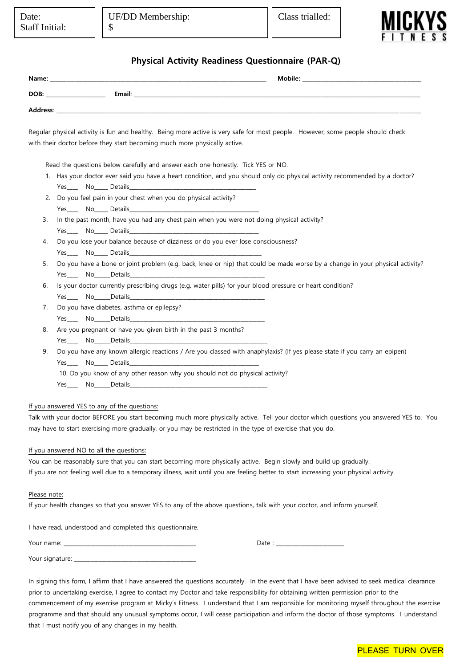

## **Physical Activity Readiness Questionnaire (PAR-Q)**

| Name:                   |                 | Mobile:               |
|-------------------------|-----------------|-----------------------|
| DOB:                    | Email:<br>_____ | _____________________ |
| Address:<br>___________ |                 |                       |

Regular physical activity is fun and healthy. Being more active is very safe for most people. However, some people should check with their doctor before they start becoming much more physically active.

Read the questions below carefully and answer each one honestly. Tick YES or NO.

- 1. Has your doctor ever said you have a heart condition, and you should only do physical activity recommended by a doctor? Yes\_\_\_\_\_\_\_ No\_\_\_\_\_\_ Details
- 2. Do you feel pain in your chest when you do physical activity? Yes\_\_\_\_\_\_\_\_ No\_\_\_\_\_\_\_ Details
- 3. In the past month, have you had any chest pain when you were not doing physical activity? Yes \_\_\_\_\_\_ No\_\_\_\_\_\_\_ Details\_
- 4. Do you lose your balance because of dizziness or do you ever lose consciousness? Yes\_\_\_\_\_\_\_ No\_\_\_\_\_\_\_ Details\_
- 5. Do you have a bone or joint problem (e.g. back, knee or hip) that could be made worse by a change in your physical activity? Yes\_\_\_\_\_\_ No\_\_\_\_\_\_Details\_
- 6. Is your doctor currently prescribing drugs (e.g. water pills) for your blood pressure or heart condition?

Yes\_\_\_\_\_\_ No\_\_\_\_\_\_Details

- 7. Do you have diabetes, asthma or epilepsy? Yes<sup>No</sup>No Details
- 8. Are you pregnant or have you given birth in the past 3 months? Yes\_\_\_\_\_\_ No\_\_\_\_\_\_Details
- 9. Do you have any known allergic reactions / Are you classed with anaphylaxis? (If yes please state if you carry an epipen) Yes<sup>No</sup> Details
	- 10. Do you know of any other reason why you should not do physical activity?
	- Yes\_\_\_\_\_\_ No\_\_\_\_\_\_Details

#### If you answered YES to any of the questions:

Talk with your doctor BEFORE you start becoming much more physically active. Tell your doctor which questions you answered YES to. You may have to start exercising more gradually, or you may be restricted in the type of exercise that you do.

#### If you answered NO to all the questions:

You can be reasonably sure that you can start becoming more physically active. Begin slowly and build up gradually. If you are not feeling well due to a temporary illness, wait until you are feeling better to start increasing your physical activity.

#### Please note:

If your health changes so that you answer YES to any of the above questions, talk with your doctor, and inform yourself.

I have read, understood and completed this questionnaire.

| Your name:<br>_____<br>____ | レロい |
|-----------------------------|-----|
| Your signa.<br>. .          |     |

In signing this form, I affirm that I have answered the questions accurately. In the event that I have been advised to seek medical clearance prior to undertaking exercise, I agree to contact my Doctor and take responsibility for obtaining written permission prior to the commencement of my exercise program at Micky's Fitness. I understand that I am responsible for monitoring myself throughout the exercise programme and that should any unusual symptoms occur, I will cease participation and inform the doctor of those symptoms. I understand that I must notify you of any changes in my health.